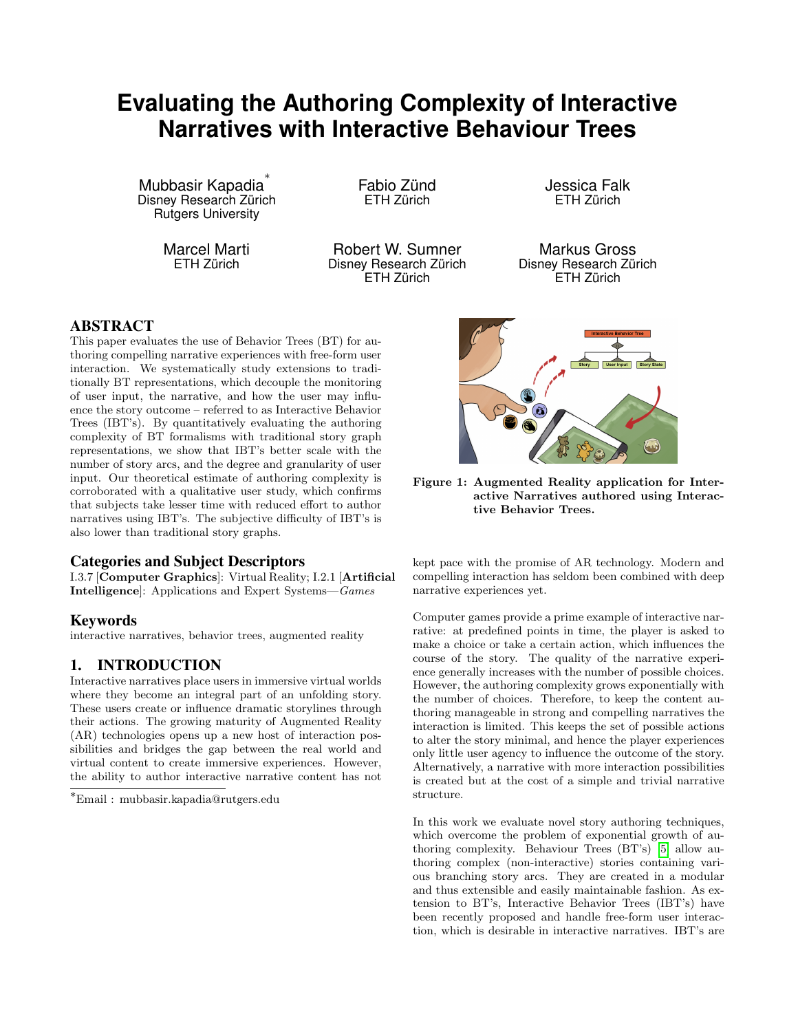# **Evaluating the Authoring Complexity of Interactive Narratives with Interactive Behaviour Trees**

Mubbasir Kapadia ∗ Disney Research Zürich Rutgers University

> Marcel Marti ETH Zürich

Fabio Zünd ETH Zürich

Robert W. Sumner Disney Research Zürich ETH Zürich

Jessica Falk ETH Zürich

Markus Gross Disney Research Zürich ETH Zürich

### ABSTRACT

This paper evaluates the use of Behavior Trees (BT) for authoring compelling narrative experiences with free-form user interaction. We systematically study extensions to traditionally BT representations, which decouple the monitoring of user input, the narrative, and how the user may influence the story outcome – referred to as Interactive Behavior Trees (IBT's). By quantitatively evaluating the authoring complexity of BT formalisms with traditional story graph representations, we show that IBT's better scale with the number of story arcs, and the degree and granularity of user input. Our theoretical estimate of authoring complexity is corroborated with a qualitative user study, which confirms that subjects take lesser time with reduced effort to author narratives using IBT's. The subjective difficulty of IBT's is also lower than traditional story graphs.

### Categories and Subject Descriptors

I.3.7 [Computer Graphics]: Virtual Reality; I.2.1 [Artificial Intelligence]: Applications and Expert Systems—Games

# Keywords

interactive narratives, behavior trees, augmented reality

# 1. INTRODUCTION

Interactive narratives place users in immersive virtual worlds where they become an integral part of an unfolding story. These users create or influence dramatic storylines through their actions. The growing maturity of Augmented Reality (AR) technologies opens up a new host of interaction possibilities and bridges the gap between the real world and virtual content to create immersive experiences. However, the ability to author interactive narrative content has not

<sup>∗</sup>Email : mubbasir.kapadia@rutgers.edu

<span id="page-0-0"></span>

Figure 1: Augmented Reality application for Interactive Narratives authored using Interactive Behavior Trees.

kept pace with the promise of AR technology. Modern and compelling interaction has seldom been combined with deep narrative experiences yet.

Computer games provide a prime example of interactive narrative: at predefined points in time, the player is asked to make a choice or take a certain action, which influences the course of the story. The quality of the narrative experience generally increases with the number of possible choices. However, the authoring complexity grows exponentially with the number of choices. Therefore, to keep the content authoring manageable in strong and compelling narratives the interaction is limited. This keeps the set of possible actions to alter the story minimal, and hence the player experiences only little user agency to influence the outcome of the story. Alternatively, a narrative with more interaction possibilities is created but at the cost of a simple and trivial narrative structure.

In this work we evaluate novel story authoring techniques, which overcome the problem of exponential growth of authoring complexity. Behaviour Trees (BT's) [\[5\]](#page-7-0) allow authoring complex (non-interactive) stories containing various branching story arcs. They are created in a modular and thus extensible and easily maintainable fashion. As extension to BT's, Interactive Behavior Trees (IBT's) have been recently proposed and handle free-form user interaction, which is desirable in interactive narratives. IBT's are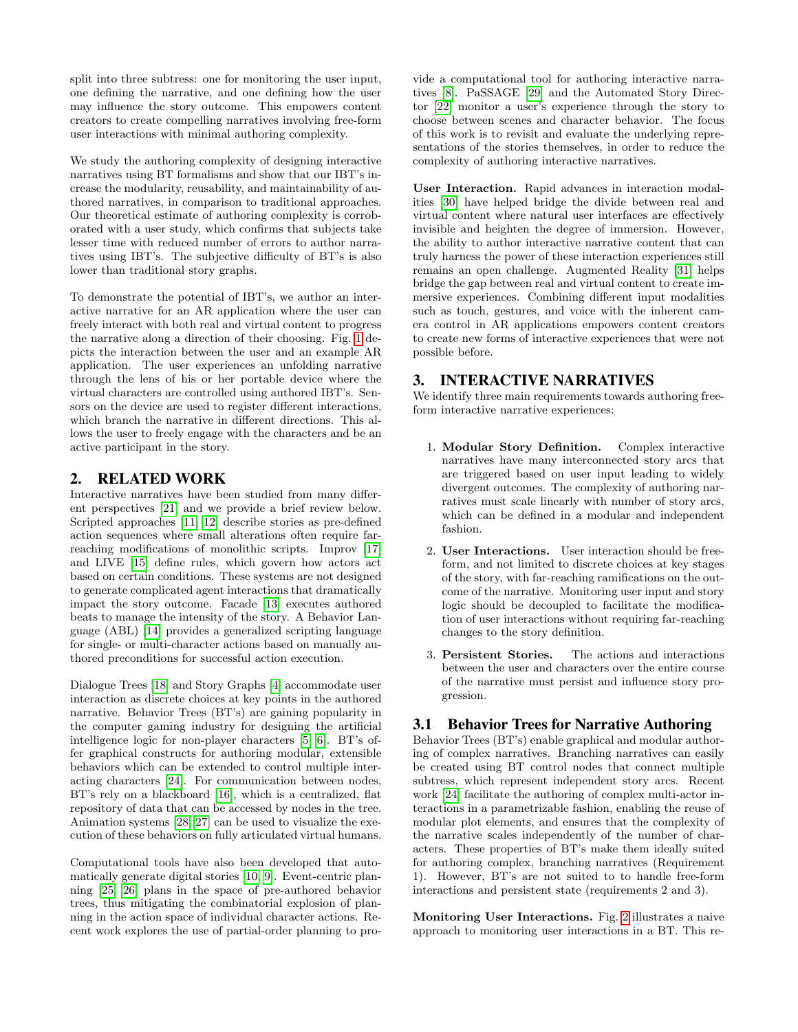split into three subtress: one for monitoring the user input, one defining the narrative, and one defining how the user may influence the story outcome. This empowers content creators to create compelling narratives involving free-form user interactions with minimal authoring complexity.

We study the authoring complexity of designing interactive narratives using BT formalisms and show that our IBT's increase the modularity, reusability, and maintainability of authored narratives, in comparison to traditional approaches. Our theoretical estimate of authoring complexity is corroborated with a user study, which confirms that subjects take lesser time with reduced number of errors to author narratives using IBT's. The subjective difficulty of BT's is also lower than traditional story graphs.

To demonstrate the potential of IBT's, we author an interactive narrative for an AR application where the user can freely interact with both real and virtual content to progress the narrative along a direction of their choosing. Fig. [1](#page-0-0) depicts the interaction between the user and an example AR application. The user experiences an unfolding narrative through the lens of his or her portable device where the virtual characters are controlled using authored IBT's. Sensors on the device are used to register different interactions, which branch the narrative in different directions. This allows the user to freely engage with the characters and be an active participant in the story.

### 2. RELATED WORK

Interactive narratives have been studied from many different perspectives [\[21\]](#page-8-0) and we provide a brief review below. Scripted approaches [\[11,](#page-8-1) [12\]](#page-8-2) describe stories as pre-defined action sequences where small alterations often require farreaching modifications of monolithic scripts. Improv [\[17\]](#page-8-3) and LIVE [\[15\]](#page-8-4) define rules, which govern how actors act based on certain conditions. These systems are not designed to generate complicated agent interactions that dramatically impact the story outcome. Facade [\[13\]](#page-8-5) executes authored beats to manage the intensity of the story. A Behavior Language (ABL) [\[14\]](#page-8-6) provides a generalized scripting language for single- or multi-character actions based on manually authored preconditions for successful action execution.

Dialogue Trees [\[18\]](#page-8-7) and Story Graphs [\[4\]](#page-7-1) accommodate user interaction as discrete choices at key points in the authored narrative. Behavior Trees (BT's) are gaining popularity in the computer gaming industry for designing the artificial intelligence logic for non-player characters [\[5,](#page-7-0) [6\]](#page-7-2). BT's offer graphical constructs for authoring modular, extensible behaviors which can be extended to control multiple interacting characters [\[24\]](#page-8-8). For communication between nodes, BT's rely on a blackboard [\[16\]](#page-8-9), which is a centralized, flat repository of data that can be accessed by nodes in the tree. Animation systems [\[28,](#page-8-10) [27\]](#page-8-11) can be used to visualize the execution of these behaviors on fully articulated virtual humans.

Computational tools have also been developed that automatically generate digital stories [\[10,](#page-7-3) [9\]](#page-7-4). Event-centric planning [\[25,](#page-8-12) [26\]](#page-8-13) plans in the space of pre-authored behavior trees, thus mitigating the combinatorial explosion of planning in the action space of individual character actions. Recent work explores the use of partial-order planning to provide a computational tool for authoring interactive narratives [\[8\]](#page-7-5). PaSSAGE [\[29\]](#page-8-14) and the Automated Story Director [\[22\]](#page-8-15) monitor a user's experience through the story to choose between scenes and character behavior. The focus of this work is to revisit and evaluate the underlying representations of the stories themselves, in order to reduce the complexity of authoring interactive narratives.

User Interaction. Rapid advances in interaction modalities [\[30\]](#page-8-16) have helped bridge the divide between real and virtual content where natural user interfaces are effectively invisible and heighten the degree of immersion. However, the ability to author interactive narrative content that can truly harness the power of these interaction experiences still remains an open challenge. Augmented Reality [\[31\]](#page-8-17) helps bridge the gap between real and virtual content to create immersive experiences. Combining different input modalities such as touch, gestures, and voice with the inherent camera control in AR applications empowers content creators to create new forms of interactive experiences that were not possible before.

# 3. INTERACTIVE NARRATIVES

We identify three main requirements towards authoring freeform interactive narrative experiences:

- 1. Modular Story Definition. Complex interactive narratives have many interconnected story arcs that are triggered based on user input leading to widely divergent outcomes. The complexity of authoring narratives must scale linearly with number of story arcs, which can be defined in a modular and independent fashion.
- 2. User Interactions. User interaction should be freeform, and not limited to discrete choices at key stages of the story, with far-reaching ramifications on the outcome of the narrative. Monitoring user input and story logic should be decoupled to facilitate the modification of user interactions without requiring far-reaching changes to the story definition.
- 3. Persistent Stories. The actions and interactions between the user and characters over the entire course of the narrative must persist and influence story progression.

# 3.1 Behavior Trees for Narrative Authoring

Behavior Trees (BT's) enable graphical and modular authoring of complex narratives. Branching narratives can easily be created using BT control nodes that connect multiple subtress, which represent independent story arcs. Recent work [\[24\]](#page-8-8) facilitate the authoring of complex multi-actor interactions in a parametrizable fashion, enabling the reuse of modular plot elements, and ensures that the complexity of the narrative scales independently of the number of characters. These properties of BT's make them ideally suited for authoring complex, branching narratives (Requirement 1). However, BT's are not suited to to handle free-form interactions and persistent state (requirements 2 and 3).

Monitoring User Interactions. Fig. [2](#page-2-0) illustrates a naive approach to monitoring user interactions in a BT. This re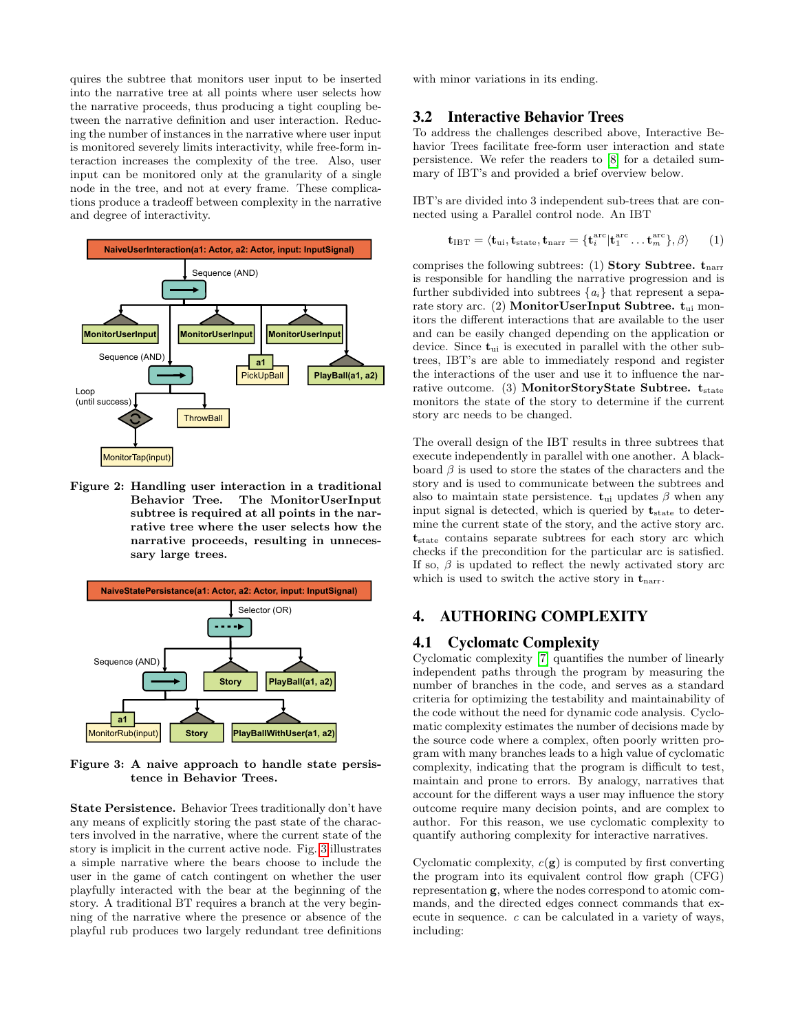quires the subtree that monitors user input to be inserted into the narrative tree at all points where user selects how the narrative proceeds, thus producing a tight coupling between the narrative definition and user interaction. Reducing the number of instances in the narrative where user input is monitored severely limits interactivity, while free-form interaction increases the complexity of the tree. Also, user input can be monitored only at the granularity of a single node in the tree, and not at every frame. These complications produce a tradeoff between complexity in the narrative and degree of interactivity.

<span id="page-2-0"></span>

Figure 2: Handling user interaction in a traditional Behavior Tree. The MonitorUserInput subtree is required at all points in the narrative tree where the user selects how the narrative proceeds, resulting in unnecessary large trees.

<span id="page-2-1"></span>

Figure 3: A naive approach to handle state persistence in Behavior Trees.

State Persistence. Behavior Trees traditionally don't have any means of explicitly storing the past state of the characters involved in the narrative, where the current state of the story is implicit in the current active node. Fig. [3](#page-2-1) illustrates a simple narrative where the bears choose to include the user in the game of catch contingent on whether the user playfully interacted with the bear at the beginning of the story. A traditional BT requires a branch at the very beginning of the narrative where the presence or absence of the playful rub produces two largely redundant tree definitions

with minor variations in its ending.

### 3.2 Interactive Behavior Trees

To address the challenges described above, Interactive Behavior Trees facilitate free-form user interaction and state persistence. We refer the readers to [\[8\]](#page-7-5) for a detailed summary of IBT's and provided a brief overview below.

IBT's are divided into 3 independent sub-trees that are connected using a Parallel control node. An IBT

$$
\mathbf{t}_{\text{IBT}} = \langle \mathbf{t}_{\text{ui}}, \mathbf{t}_{\text{state}}, \mathbf{t}_{\text{narr}} = {\mathbf{t}_{i}^{\text{arc}} | \mathbf{t}_{1}^{\text{arc}} \dots \mathbf{t}_{m}^{\text{arc}}}, \beta \rangle \qquad (1)
$$

comprises the following subtrees: (1) Story Subtree.  $t_{\text{narr}}$ is responsible for handling the narrative progression and is further subdivided into subtrees  $\{a_i\}$  that represent a separate story arc. (2) **MonitorUserInput Subtree.**  $t_{\text{ui}}$  monitors the different interactions that are available to the user and can be easily changed depending on the application or device. Since  $t_{\text{ui}}$  is executed in parallel with the other subtrees, IBT's are able to immediately respond and register the interactions of the user and use it to influence the narrative outcome. (3) MonitorStoryState Subtree.  $t_{state}$ monitors the state of the story to determine if the current story arc needs to be changed.

The overall design of the IBT results in three subtrees that execute independently in parallel with one another. A blackboard  $\beta$  is used to store the states of the characters and the story and is used to communicate between the subtrees and also to maintain state persistence.  $t_{ui}$  updates  $\beta$  when any input signal is detected, which is queried by  $t_{state}$  to determine the current state of the story, and the active story arc. t<sub>state</sub> contains separate subtrees for each story arc which checks if the precondition for the particular arc is satisfied. If so,  $\beta$  is updated to reflect the newly activated story arc which is used to switch the active story in  $t_{\text{narr}}$ .

# 4. AUTHORING COMPLEXITY

### 4.1 Cyclomatc Complexity

Cyclomatic complexity [\[7\]](#page-7-6) quantifies the number of linearly independent paths through the program by measuring the number of branches in the code, and serves as a standard criteria for optimizing the testability and maintainability of the code without the need for dynamic code analysis. Cyclomatic complexity estimates the number of decisions made by the source code where a complex, often poorly written program with many branches leads to a high value of cyclomatic complexity, indicating that the program is difficult to test, maintain and prone to errors. By analogy, narratives that account for the different ways a user may influence the story outcome require many decision points, and are complex to author. For this reason, we use cyclomatic complexity to quantify authoring complexity for interactive narratives.

Cyclomatic complexity,  $c(\mathbf{g})$  is computed by first converting the program into its equivalent control flow graph (CFG) representation g, where the nodes correspond to atomic commands, and the directed edges connect commands that execute in sequence. c can be calculated in a variety of ways, including: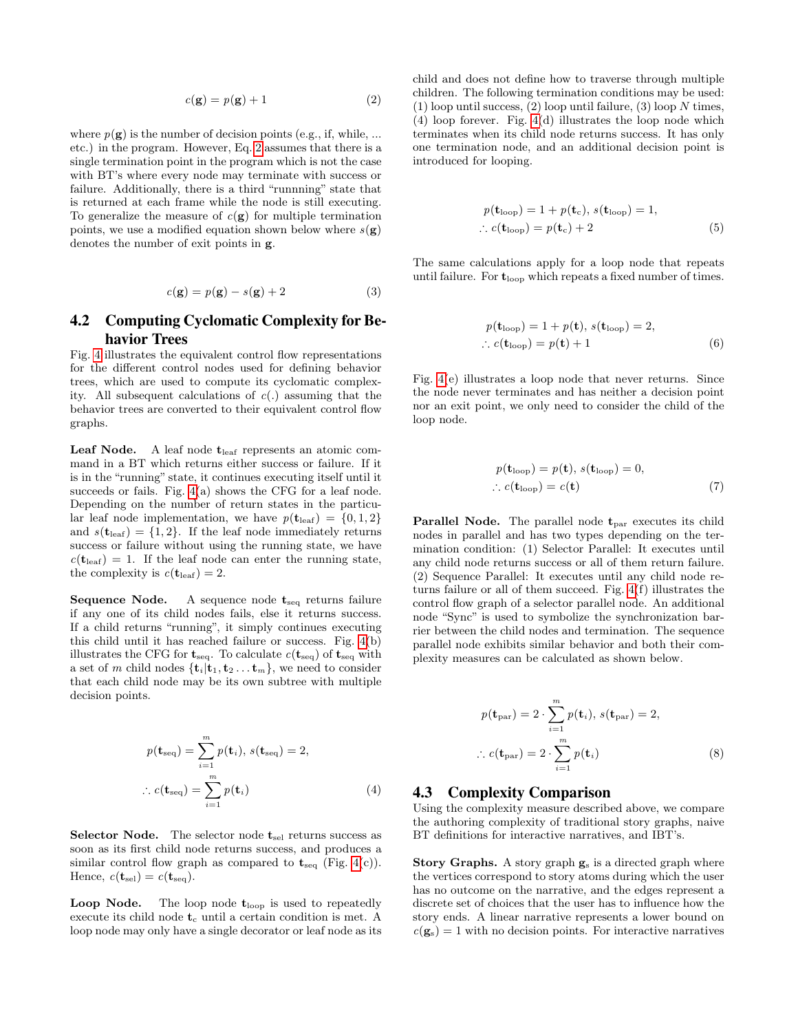<span id="page-3-0"></span>
$$
c(\mathbf{g}) = p(\mathbf{g}) + 1 \tag{2}
$$

where  $p(\mathbf{g})$  is the number of decision points (e.g., if, while, ... etc.) in the program. However, Eq. [2](#page-3-0) assumes that there is a single termination point in the program which is not the case with BT's where every node may terminate with success or failure. Additionally, there is a third "runnning" state that is returned at each frame while the node is still executing. To generalize the measure of  $c(g)$  for multiple termination points, we use a modified equation shown below where  $s(g)$ denotes the number of exit points in g.

$$
c(\mathbf{g}) = p(\mathbf{g}) - s(\mathbf{g}) + 2 \tag{3}
$$

### 4.2 Computing Cyclomatic Complexity for Behavior Trees

Fig. [4](#page-4-0) illustrates the equivalent control flow representations for the different control nodes used for defining behavior trees, which are used to compute its cyclomatic complexity. All subsequent calculations of  $c(.)$  assuming that the behavior trees are converted to their equivalent control flow graphs.

**Leaf Node.** A leaf node  $t_{leaf}$  represents an atomic command in a BT which returns either success or failure. If it is in the "running" state, it continues executing itself until it succeeds or fails. Fig. [4\(](#page-4-0)a) shows the CFG for a leaf node. Depending on the number of return states in the particular leaf node implementation, we have  $p(\mathbf{t}_{\text{leaf}}) = \{0,1,2\}$ and  $s(t_{\text{leaf}}) = \{1,2\}$ . If the leaf node immediately returns success or failure without using the running state, we have  $c(\mathbf{t}_{\text{leaf}}) = 1$ . If the leaf node can enter the running state, the complexity is  $c(\mathbf{t}_{\text{leaf}}) = 2$ .

Sequence Node. A sequence node  $t_{seq}$  returns failure if any one of its child nodes fails, else it returns success. If a child returns "running", it simply continues executing this child until it has reached failure or success. Fig.  $4(b)$ illustrates the CFG for  $t_{seq}$ . To calculate  $c(t_{seq})$  of  $t_{seq}$  with a set of m child nodes  $\{\mathbf{t}_i | \mathbf{t}_1, \mathbf{t}_2 \dots \mathbf{t}_m\}$ , we need to consider that each child node may be its own subtree with multiple decision points.

$$
p(\mathbf{t}_{\text{seq}}) = \sum_{i=1}^{m} p(\mathbf{t}_i), s(\mathbf{t}_{\text{seq}}) = 2,
$$
  

$$
\therefore c(\mathbf{t}_{\text{seq}}) = \sum_{i=1}^{m} p(\mathbf{t}_i)
$$
 (4)

**Selector Node.** The selector node  $t_{\text{sel}}$  returns success as soon as its first child node returns success, and produces a similar control flow graph as compared to  $t_{\text{seq}}$  (Fig. [4\(](#page-4-0)c)). Hence,  $c(\mathbf{t}_{\text{sel}}) = c(\mathbf{t}_{\text{seq}})$ .

**Loop Node.** The loop node  $t_{\text{loop}}$  is used to repeatedly execute its child node  $t_c$  until a certain condition is met. A loop node may only have a single decorator or leaf node as its child and does not define how to traverse through multiple children. The following termination conditions may be used:  $(1)$  loop until success,  $(2)$  loop until failure,  $(3)$  loop N times, (4) loop forever. Fig. [4\(](#page-4-0)d) illustrates the loop node which terminates when its child node returns success. It has only one termination node, and an additional decision point is introduced for looping.

$$
p(\mathbf{t}_{\text{loop}}) = 1 + p(\mathbf{t}_{\text{c}}), s(\mathbf{t}_{\text{loop}}) = 1,
$$
  
 
$$
\therefore c(\mathbf{t}_{\text{loop}}) = p(\mathbf{t}_{\text{c}}) + 2
$$
 (5)

The same calculations apply for a loop node that repeats until failure. For  $t_{\text{loop}}$  which repeats a fixed number of times.

$$
p(\mathbf{t}_{\text{loop}}) = 1 + p(\mathbf{t}), s(\mathbf{t}_{\text{loop}}) = 2,
$$
  
 
$$
\therefore c(\mathbf{t}_{\text{loop}}) = p(\mathbf{t}) + 1
$$
 (6)

Fig. [4\(](#page-4-0)e) illustrates a loop node that never returns. Since the node never terminates and has neither a decision point nor an exit point, we only need to consider the child of the loop node.

$$
p(\mathbf{t}_{\text{loop}}) = p(\mathbf{t}), s(\mathbf{t}_{\text{loop}}) = 0,
$$
  
 
$$
\therefore c(\mathbf{t}_{\text{loop}}) = c(\mathbf{t})
$$
 (7)

**Parallel Node.** The parallel node  $t_{\text{par}}$  executes its child nodes in parallel and has two types depending on the termination condition: (1) Selector Parallel: It executes until any child node returns success or all of them return failure. (2) Sequence Parallel: It executes until any child node returns failure or all of them succeed. Fig. [4\(](#page-4-0)f) illustrates the control flow graph of a selector parallel node. An additional node "Sync" is used to symbolize the synchronization barrier between the child nodes and termination. The sequence parallel node exhibits similar behavior and both their complexity measures can be calculated as shown below.

$$
p(\mathbf{t}_{\text{par}}) = 2 \cdot \sum_{i=1}^{m} p(\mathbf{t}_{i}), \, s(\mathbf{t}_{\text{par}}) = 2, \therefore c(\mathbf{t}_{\text{par}}) = 2 \cdot \sum_{i=1}^{m} p(\mathbf{t}_{i})
$$
 (8)

#### 4.3 Complexity Comparison

Using the complexity measure described above, we compare the authoring complexity of traditional story graphs, naive BT definitions for interactive narratives, and IBT's.

Story Graphs. A story graph  $g_s$  is a directed graph where the vertices correspond to story atoms during which the user has no outcome on the narrative, and the edges represent a discrete set of choices that the user has to influence how the story ends. A linear narrative represents a lower bound on  $c(\mathbf{g}_s) = 1$  with no decision points. For interactive narratives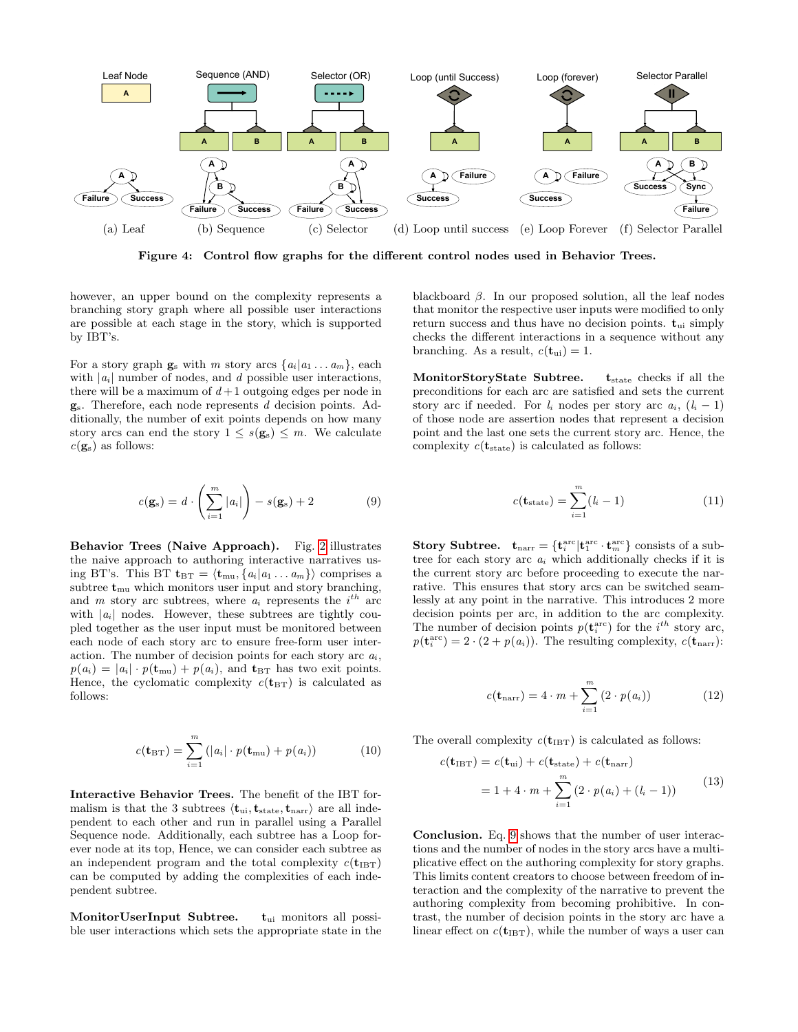<span id="page-4-0"></span>

Figure 4: Control flow graphs for the different control nodes used in Behavior Trees.

however, an upper bound on the complexity represents a branching story graph where all possible user interactions are possible at each stage in the story, which is supported by IBT's.

For a story graph  $\mathbf{g}_s$  with m story arcs  $\{a_i|a_1 \ldots a_m\}$ , each with  $|a_i|$  number of nodes, and d possible user interactions, there will be a maximum of  $d+1$  outgoing edges per node in gs. Therefore, each node represents d decision points. Additionally, the number of exit points depends on how many story arcs can end the story  $1 \leq s(\mathbf{g}_s) \leq m$ . We calculate  $c(\mathbf{g}_s)$  as follows:

<span id="page-4-1"></span>
$$
c(\mathbf{g}_s) = d \cdot \left(\sum_{i=1}^m |a_i|\right) - s(\mathbf{g}_s) + 2 \tag{9}
$$

Behavior Trees (Naive Approach). Fig. [2](#page-2-0) illustrates the naive approach to authoring interactive narratives using BT's. This BT  $\mathbf{t}_{BT} = \langle \mathbf{t}_{mu}, \{a_i | a_1 ... a_m \} \rangle$  comprises a subtree  $t_{\text{mu}}$  which monitors user input and story branching, and m story arc subtrees, where  $a_i$  represents the  $i^{th}$  arc with  $|a_i|$  nodes. However, these subtrees are tightly coupled together as the user input must be monitored between each node of each story arc to ensure free-form user interaction. The number of decision points for each story arc  $a_i$ ,  $p(a_i) = |a_i| \cdot p(\mathbf{t}_{\text{mu}}) + p(a_i)$ , and  $\mathbf{t}_{\text{BT}}$  has two exit points. Hence, the cyclomatic complexity  $c(\mathbf{t}_{BT})$  is calculated as follows:

$$
c(\mathbf{t}_{\text{BT}}) = \sum_{i=1}^{m} (|a_i| \cdot p(\mathbf{t}_{\text{mu}}) + p(a_i)) \tag{10}
$$

Interactive Behavior Trees. The benefit of the IBT formalism is that the 3 subtrees  $\langle \mathbf{t}_{ui}, \mathbf{t}_{state}, \mathbf{t}_{narr} \rangle$  are all independent to each other and run in parallel using a Parallel Sequence node. Additionally, each subtree has a Loop forever node at its top, Hence, we can consider each subtree as an independent program and the total complexity  $c(t_{\text{IBT}})$ can be computed by adding the complexities of each independent subtree.

MonitorUserInput Subtree.  $t_{ui}$  monitors all possible user interactions which sets the appropriate state in the blackboard  $\beta$ . In our proposed solution, all the leaf nodes that monitor the respective user inputs were modified to only return success and thus have no decision points.  $t_{ui}$  simply checks the different interactions in a sequence without any branching. As a result,  $c(\mathbf{t}_{ui}) = 1$ .

MonitorStoryState Subtree.  $t_{state}$  checks if all the preconditions for each arc are satisfied and sets the current story arc if needed. For  $l_i$  nodes per story arc  $a_i$ ,  $(l_i - 1)$ of those node are assertion nodes that represent a decision point and the last one sets the current story arc. Hence, the complexity  $c(\mathbf{t}_{\text{state}})$  is calculated as follows:

$$
c(\mathbf{t}_{\text{state}}) = \sum_{i=1}^{m} (l_i - 1) \tag{11}
$$

**Story Subtree.**  $\mathbf{t}_{\text{narr}} = {\mathbf{t}_{i}^{\text{arc}}|\mathbf{t}_{1}^{\text{arc}} \cdot \mathbf{t}_{m}^{\text{arc}}}$  consists of a subtree for each story arc  $a_i$  which additionally checks if it is the current story arc before proceeding to execute the narrative. This ensures that story arcs can be switched seamlessly at any point in the narrative. This introduces 2 more decision points per arc, in addition to the arc complexity. The number of decision points  $p(\mathbf{t}_i^{\text{arc}})$  for the  $i^{th}$  story arc,  $p(\mathbf{t}_i^{\text{arc}}) = 2 \cdot (2 + p(a_i)).$  The resulting complexity,  $c(\mathbf{t}_{\text{narr}})$ :

$$
c(\mathbf{t}_{\text{narr}}) = 4 \cdot m + \sum_{i=1}^{m} (2 \cdot p(a_i))
$$
 (12)

The overall complexity  $c(\mathbf{t}_{\text{IBT}})$  is calculated as follows:

$$
c(\mathbf{t}_{\text{IBT}}) = c(\mathbf{t}_{\text{ui}}) + c(\mathbf{t}_{\text{state}}) + c(\mathbf{t}_{\text{narr}})
$$
  
= 1 + 4 \cdot m +  $\sum_{i=1}^{m} (2 \cdot p(a_i) + (l_i - 1))$  (13)

Conclusion. Eq. [9](#page-4-1) shows that the number of user interactions and the number of nodes in the story arcs have a multiplicative effect on the authoring complexity for story graphs. This limits content creators to choose between freedom of interaction and the complexity of the narrative to prevent the authoring complexity from becoming prohibitive. In contrast, the number of decision points in the story arc have a linear effect on  $c(\mathbf{t}_{\text{IBT}})$ , while the number of ways a user can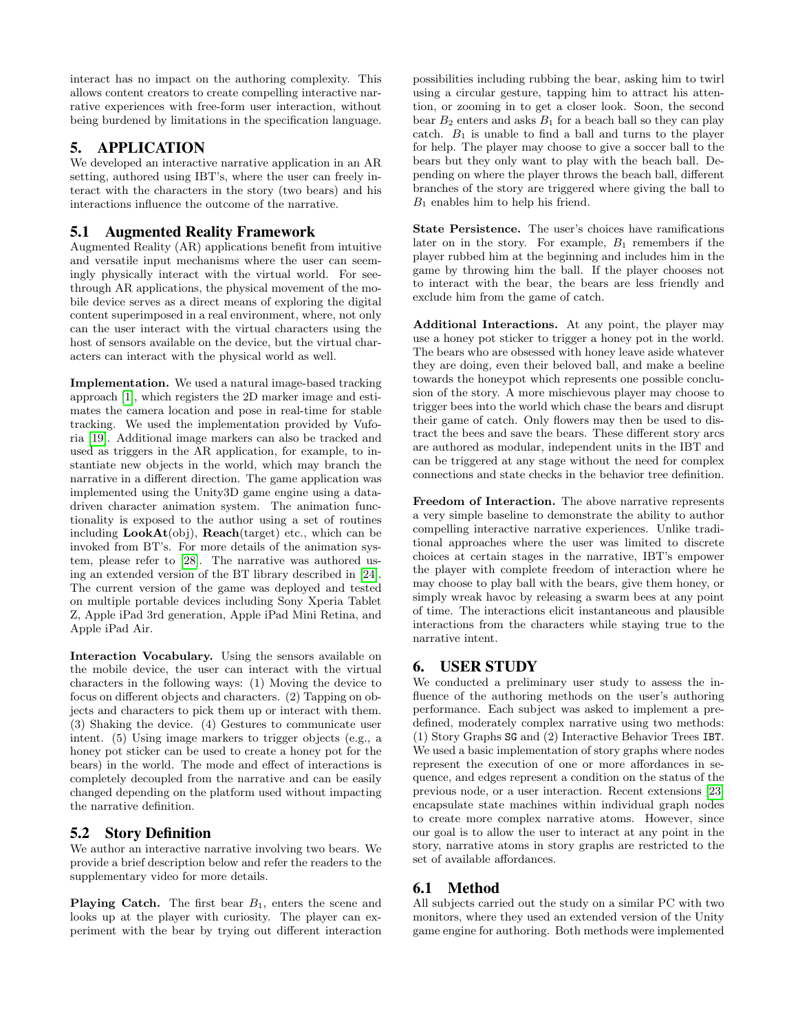interact has no impact on the authoring complexity. This allows content creators to create compelling interactive narrative experiences with free-form user interaction, without being burdened by limitations in the specification language.

# 5. APPLICATION

We developed an interactive narrative application in an AR setting, authored using IBT's, where the user can freely interact with the characters in the story (two bears) and his interactions influence the outcome of the narrative.

# 5.1 Augmented Reality Framework

Augmented Reality (AR) applications benefit from intuitive and versatile input mechanisms where the user can seemingly physically interact with the virtual world. For seethrough AR applications, the physical movement of the mobile device serves as a direct means of exploring the digital content superimposed in a real environment, where, not only can the user interact with the virtual characters using the host of sensors available on the device, but the virtual characters can interact with the physical world as well.

Implementation. We used a natural image-based tracking approach [\[1\]](#page-7-7), which registers the 2D marker image and estimates the camera location and pose in real-time for stable tracking. We used the implementation provided by Vuforia [\[19\]](#page-8-18). Additional image markers can also be tracked and used as triggers in the AR application, for example, to instantiate new objects in the world, which may branch the narrative in a different direction. The game application was implemented using the Unity3D game engine using a datadriven character animation system. The animation functionality is exposed to the author using a set of routines including LookAt(obj), Reach(target) etc., which can be invoked from BT's. For more details of the animation system, please refer to [\[28\]](#page-8-10). The narrative was authored using an extended version of the BT library described in [\[24\]](#page-8-8). The current version of the game was deployed and tested on multiple portable devices including Sony Xperia Tablet Z, Apple iPad 3rd generation, Apple iPad Mini Retina, and Apple iPad Air.

Interaction Vocabulary. Using the sensors available on the mobile device, the user can interact with the virtual characters in the following ways: (1) Moving the device to focus on different objects and characters. (2) Tapping on objects and characters to pick them up or interact with them. (3) Shaking the device. (4) Gestures to communicate user intent. (5) Using image markers to trigger objects (e.g., a honey pot sticker can be used to create a honey pot for the bears) in the world. The mode and effect of interactions is completely decoupled from the narrative and can be easily changed depending on the platform used without impacting the narrative definition.

# 5.2 Story Definition

We author an interactive narrative involving two bears. We provide a brief description below and refer the readers to the supplementary video for more details.

**Playing Catch.** The first bear  $B_1$ , enters the scene and looks up at the player with curiosity. The player can experiment with the bear by trying out different interaction possibilities including rubbing the bear, asking him to twirl using a circular gesture, tapping him to attract his attention, or zooming in to get a closer look. Soon, the second bear  $B_2$  enters and asks  $B_1$  for a beach ball so they can play catch.  $B_1$  is unable to find a ball and turns to the player for help. The player may choose to give a soccer ball to the bears but they only want to play with the beach ball. Depending on where the player throws the beach ball, different branches of the story are triggered where giving the ball to  $B_1$  enables him to help his friend.

State Persistence. The user's choices have ramifications later on in the story. For example,  $B_1$  remembers if the player rubbed him at the beginning and includes him in the game by throwing him the ball. If the player chooses not to interact with the bear, the bears are less friendly and exclude him from the game of catch.

Additional Interactions. At any point, the player may use a honey pot sticker to trigger a honey pot in the world. The bears who are obsessed with honey leave aside whatever they are doing, even their beloved ball, and make a beeline towards the honeypot which represents one possible conclusion of the story. A more mischievous player may choose to trigger bees into the world which chase the bears and disrupt their game of catch. Only flowers may then be used to distract the bees and save the bears. These different story arcs are authored as modular, independent units in the IBT and can be triggered at any stage without the need for complex connections and state checks in the behavior tree definition.

Freedom of Interaction. The above narrative represents a very simple baseline to demonstrate the ability to author compelling interactive narrative experiences. Unlike traditional approaches where the user was limited to discrete choices at certain stages in the narrative, IBT's empower the player with complete freedom of interaction where he may choose to play ball with the bears, give them honey, or simply wreak havoc by releasing a swarm bees at any point of time. The interactions elicit instantaneous and plausible interactions from the characters while staying true to the narrative intent.

# 6. USER STUDY

We conducted a preliminary user study to assess the influence of the authoring methods on the user's authoring performance. Each subject was asked to implement a predefined, moderately complex narrative using two methods: (1) Story Graphs SG and (2) Interactive Behavior Trees IBT. We used a basic implementation of story graphs where nodes represent the execution of one or more affordances in sequence, and edges represent a condition on the status of the previous node, or a user interaction. Recent extensions [\[23\]](#page-8-19) encapsulate state machines within individual graph nodes to create more complex narrative atoms. However, since our goal is to allow the user to interact at any point in the story, narrative atoms in story graphs are restricted to the set of available affordances.

# 6.1 Method

All subjects carried out the study on a similar PC with two monitors, where they used an extended version of the Unity game engine for authoring. Both methods were implemented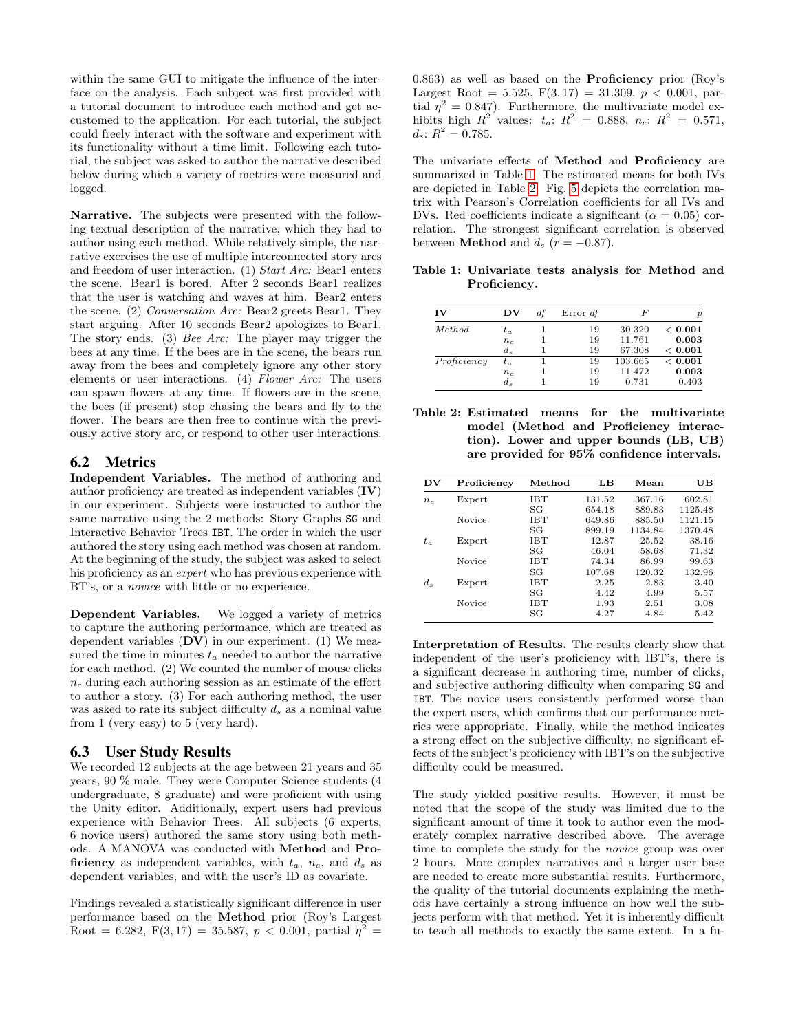within the same GUI to mitigate the influence of the interface on the analysis. Each subject was first provided with a tutorial document to introduce each method and get accustomed to the application. For each tutorial, the subject could freely interact with the software and experiment with its functionality without a time limit. Following each tutorial, the subject was asked to author the narrative described below during which a variety of metrics were measured and logged.

Narrative. The subjects were presented with the following textual description of the narrative, which they had to author using each method. While relatively simple, the narrative exercises the use of multiple interconnected story arcs and freedom of user interaction. (1) Start Arc: Bear1 enters the scene. Bear1 is bored. After 2 seconds Bear1 realizes that the user is watching and waves at him. Bear2 enters the scene. (2) Conversation Arc: Bear2 greets Bear1. They start arguing. After 10 seconds Bear2 apologizes to Bear1. The story ends. (3) Bee Arc: The player may trigger the bees at any time. If the bees are in the scene, the bears run away from the bees and completely ignore any other story elements or user interactions. (4) Flower Arc: The users can spawn flowers at any time. If flowers are in the scene, the bees (if present) stop chasing the bears and fly to the flower. The bears are then free to continue with the previously active story arc, or respond to other user interactions.

### 6.2 Metrics

Independent Variables. The method of authoring and author proficiency are treated as independent variables (IV) in our experiment. Subjects were instructed to author the same narrative using the 2 methods: Story Graphs SG and Interactive Behavior Trees IBT. The order in which the user authored the story using each method was chosen at random. At the beginning of the study, the subject was asked to select his proficiency as an *expert* who has previous experience with BT's, or a novice with little or no experience.

Dependent Variables. We logged a variety of metrics to capture the authoring performance, which are treated as dependent variables  $(DV)$  in our experiment. (1) We measured the time in minutes  $t_a$  needed to author the narrative for each method. (2) We counted the number of mouse clicks  $n_c$  during each authoring session as an estimate of the effort to author a story. (3) For each authoring method, the user was asked to rate its subject difficulty  $d_s$  as a nominal value from 1 (very easy) to 5 (very hard).

### 6.3 User Study Results

We recorded 12 subjects at the age between 21 years and 35 years, 90 % male. They were Computer Science students (4 undergraduate, 8 graduate) and were proficient with using the Unity editor. Additionally, expert users had previous experience with Behavior Trees. All subjects (6 experts, 6 novice users) authored the same story using both methods. A MANOVA was conducted with Method and Proficiency as independent variables, with  $t_a$ ,  $n_c$ , and  $d_s$  as dependent variables, and with the user's ID as covariate.

Findings revealed a statistically significant difference in user performance based on the Method prior (Roy's Largest Root = 6.282,  $F(3,17) = 35.587, p < 0.001$ , partial  $\eta^2 =$ 

0.863) as well as based on the Proficiency prior (Roy's Largest Root = 5.525,  $F(3, 17) = 31.309$ ,  $p < 0.001$ , partial  $\eta^2 = 0.847$ . Furthermore, the multivariate model exhibits high  $R^2$  values:  $t_a: R^2 = 0.888, n_c: R^2 = 0.571,$  $d_s$ :  $R^2 = 0.785$ .

The univariate effects of Method and Proficiency are summarized in Table [1.](#page-6-0) The estimated means for both IVs are depicted in Table [2.](#page-6-1) Fig. [5](#page-7-8) depicts the correlation matrix with Pearson's Correlation coefficients for all IVs and DVs. Red coefficients indicate a significant ( $\alpha = 0.05$ ) correlation. The strongest significant correlation is observed between **Method** and  $d_s$  ( $r = -0.87$ ).

<span id="page-6-0"></span>Table 1: Univariate tests analysis for Method and Proficiency.

| IV          | DV      | df | Error df | F       | $\boldsymbol{v}$ |
|-------------|---------|----|----------|---------|------------------|
| Method      | $t_a$   |    | 19       | 30.320  | < 0.001          |
|             | $n_c$   |    | 19       | 11.761  | 0.003            |
|             | $d_{s}$ |    | 19       | 67.308  | < 0.001          |
| Proficiency | $t_a$   |    | 19       | 103.665 | < 0.001          |
|             | $n_c$   |    | 19       | 11.472  | 0.003            |
|             | $d_{s}$ |    | 19       | 0.731   | 0.403            |

<span id="page-6-1"></span>Table 2: Estimated means for the multivariate model (Method and Proficiency interaction). Lower and upper bounds (LB, UB) are provided for 95% confidence intervals.

| DV      | Proficiency | Method     | LB     | Mean    | UB      |
|---------|-------------|------------|--------|---------|---------|
| $n_c$   | Expert      | IBT        | 131.52 | 367.16  | 602.81  |
|         |             | SG         | 654.18 | 889.83  | 1125.48 |
|         | Novice      | <b>IBT</b> | 649.86 | 885.50  | 1121.15 |
|         |             | SG         | 899.19 | 1134.84 | 1370.48 |
| $t_a$   | Expert      | <b>IBT</b> | 12.87  | 25.52   | 38.16   |
|         |             | SG         | 46.04  | 58.68   | 71.32   |
|         | Novice      | <b>IBT</b> | 74.34  | 86.99   | 99.63   |
|         |             | SG         | 107.68 | 120.32  | 132.96  |
| $d_{s}$ | Expert      | <b>IBT</b> | 2.25   | 2.83    | 3.40    |
|         |             | SG         | 4.42   | 4.99    | 5.57    |
|         | Novice      | <b>IBT</b> | 1.93   | 2.51    | 3.08    |
|         |             | SG         | 4.27   | 4.84    | 5.42    |

Interpretation of Results. The results clearly show that independent of the user's proficiency with IBT's, there is a significant decrease in authoring time, number of clicks, and subjective authoring difficulty when comparing SG and IBT. The novice users consistently performed worse than the expert users, which confirms that our performance metrics were appropriate. Finally, while the method indicates a strong effect on the subjective difficulty, no significant effects of the subject's proficiency with IBT's on the subjective difficulty could be measured.

The study yielded positive results. However, it must be noted that the scope of the study was limited due to the significant amount of time it took to author even the moderately complex narrative described above. The average time to complete the study for the novice group was over 2 hours. More complex narratives and a larger user base are needed to create more substantial results. Furthermore, the quality of the tutorial documents explaining the methods have certainly a strong influence on how well the subjects perform with that method. Yet it is inherently difficult to teach all methods to exactly the same extent. In a fu-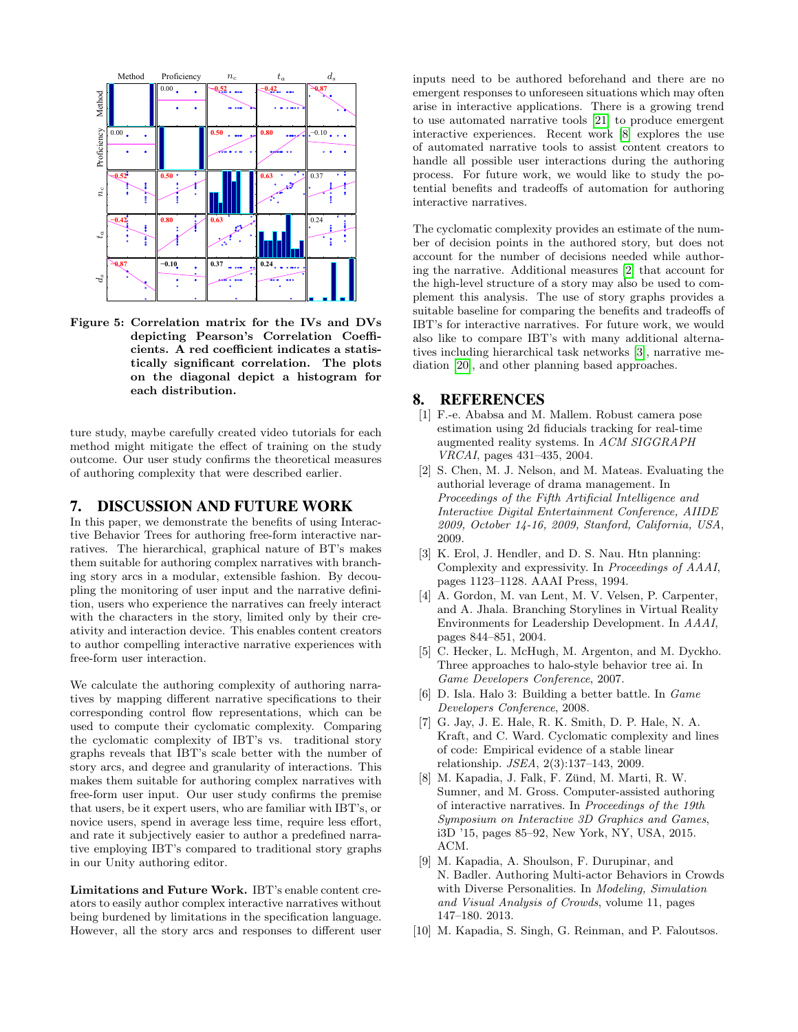<span id="page-7-8"></span>

Figure 5: Correlation matrix for the IVs and DVs depicting Pearson's Correlation Coefficients. A red coefficient indicates a statistically significant correlation. The plots on the diagonal depict a histogram for each distribution.

ture study, maybe carefully created video tutorials for each method might mitigate the effect of training on the study outcome. Our user study confirms the theoretical measures of authoring complexity that were described earlier.

### 7. DISCUSSION AND FUTURE WORK

In this paper, we demonstrate the benefits of using Interactive Behavior Trees for authoring free-form interactive narratives. The hierarchical, graphical nature of BT's makes them suitable for authoring complex narratives with branching story arcs in a modular, extensible fashion. By decoupling the monitoring of user input and the narrative definition, users who experience the narratives can freely interact with the characters in the story, limited only by their creativity and interaction device. This enables content creators to author compelling interactive narrative experiences with free-form user interaction.

We calculate the authoring complexity of authoring narratives by mapping different narrative specifications to their corresponding control flow representations, which can be used to compute their cyclomatic complexity. Comparing the cyclomatic complexity of IBT's vs. traditional story graphs reveals that IBT's scale better with the number of story arcs, and degree and granularity of interactions. This makes them suitable for authoring complex narratives with free-form user input. Our user study confirms the premise that users, be it expert users, who are familiar with IBT's, or novice users, spend in average less time, require less effort, and rate it subjectively easier to author a predefined narrative employing IBT's compared to traditional story graphs in our Unity authoring editor.

Limitations and Future Work. IBT's enable content creators to easily author complex interactive narratives without being burdened by limitations in the specification language. However, all the story arcs and responses to different user inputs need to be authored beforehand and there are no emergent responses to unforeseen situations which may often arise in interactive applications. There is a growing trend to use automated narrative tools [\[21\]](#page-8-0) to produce emergent interactive experiences. Recent work [\[8\]](#page-7-5) explores the use of automated narrative tools to assist content creators to handle all possible user interactions during the authoring process. For future work, we would like to study the potential benefits and tradeoffs of automation for authoring interactive narratives.

The cyclomatic complexity provides an estimate of the number of decision points in the authored story, but does not account for the number of decisions needed while authoring the narrative. Additional measures [\[2\]](#page-7-9) that account for the high-level structure of a story may also be used to complement this analysis. The use of story graphs provides a suitable baseline for comparing the benefits and tradeoffs of IBT's for interactive narratives. For future work, we would also like to compare IBT's with many additional alternatives including hierarchical task networks [\[3\]](#page-7-10), narrative mediation [\[20\]](#page-8-20), and other planning based approaches.

### 8. REFERENCES

- <span id="page-7-7"></span>[1] F.-e. Ababsa and M. Mallem. Robust camera pose estimation using 2d fiducials tracking for real-time augmented reality systems. In ACM SIGGRAPH VRCAI, pages 431–435, 2004.
- <span id="page-7-9"></span>[2] S. Chen, M. J. Nelson, and M. Mateas. Evaluating the authorial leverage of drama management. In Proceedings of the Fifth Artificial Intelligence and Interactive Digital Entertainment Conference, AIIDE 2009, October 14-16, 2009, Stanford, California, USA, 2009.
- <span id="page-7-10"></span>[3] K. Erol, J. Hendler, and D. S. Nau. Htn planning: Complexity and expressivity. In Proceedings of AAAI, pages 1123–1128. AAAI Press, 1994.
- <span id="page-7-1"></span>[4] A. Gordon, M. van Lent, M. V. Velsen, P. Carpenter, and A. Jhala. Branching Storylines in Virtual Reality Environments for Leadership Development. In AAAI, pages 844–851, 2004.
- <span id="page-7-0"></span>[5] C. Hecker, L. McHugh, M. Argenton, and M. Dyckho. Three approaches to halo-style behavior tree ai. In Game Developers Conference, 2007.
- <span id="page-7-2"></span>[6] D. Isla. Halo 3: Building a better battle. In Game Developers Conference, 2008.
- <span id="page-7-6"></span>[7] G. Jay, J. E. Hale, R. K. Smith, D. P. Hale, N. A. Kraft, and C. Ward. Cyclomatic complexity and lines of code: Empirical evidence of a stable linear relationship. JSEA, 2(3):137–143, 2009.
- <span id="page-7-5"></span>[8] M. Kapadia, J. Falk, F. Zünd, M. Marti, R. W. Sumner, and M. Gross. Computer-assisted authoring of interactive narratives. In Proceedings of the 19th Symposium on Interactive 3D Graphics and Games, i3D '15, pages 85–92, New York, NY, USA, 2015. ACM.
- <span id="page-7-4"></span>[9] M. Kapadia, A. Shoulson, F. Durupinar, and N. Badler. Authoring Multi-actor Behaviors in Crowds with Diverse Personalities. In Modeling, Simulation and Visual Analysis of Crowds, volume 11, pages 147–180. 2013.
- <span id="page-7-3"></span>[10] M. Kapadia, S. Singh, G. Reinman, and P. Faloutsos.